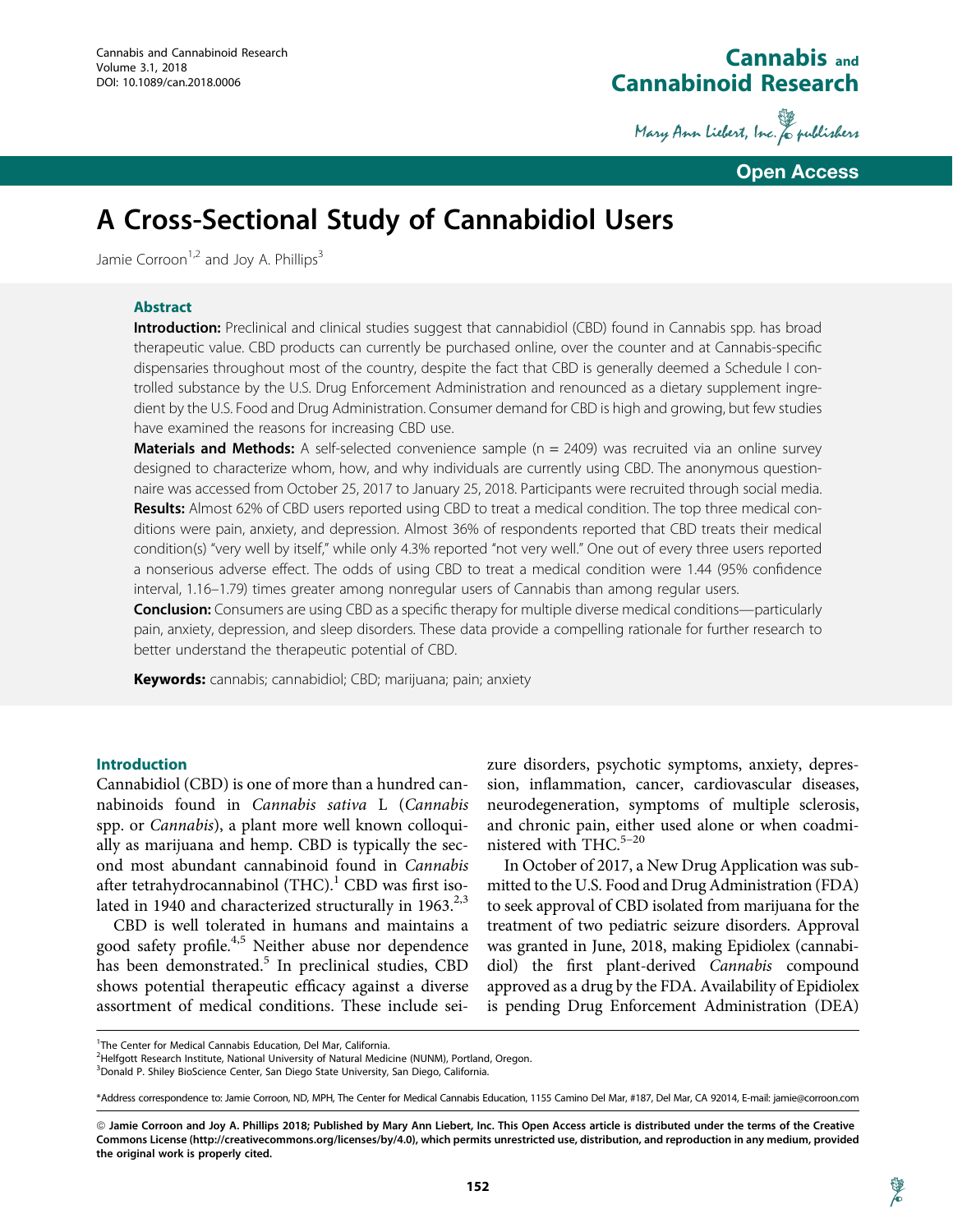## Cannabis and Cannabinoid Research

Mary Ann Liebert, Inc. & publishers

Open Access

# A Cross-Sectional Study of Cannabidiol Users

Jamie Corroon<sup>1,2</sup> and Joy A. Phillips<sup>3</sup>

### Abstract

**Introduction:** Preclinical and clinical studies suggest that cannabidiol (CBD) found in Cannabis spp. has broad therapeutic value. CBD products can currently be purchased online, over the counter and at Cannabis-specific dispensaries throughout most of the country, despite the fact that CBD is generally deemed a Schedule I controlled substance by the U.S. Drug Enforcement Administration and renounced as a dietary supplement ingredient by the U.S. Food and Drug Administration. Consumer demand for CBD is high and growing, but few studies have examined the reasons for increasing CBD use.

**Materials and Methods:** A self-selected convenience sample  $(n = 2409)$  was recruited via an online survey designed to characterize whom, how, and why individuals are currently using CBD. The anonymous questionnaire was accessed from October 25, 2017 to January 25, 2018. Participants were recruited through social media. **Results:** Almost 62% of CBD users reported using CBD to treat a medical condition. The top three medical conditions were pain, anxiety, and depression. Almost 36% of respondents reported that CBD treats their medical condition(s) ''very well by itself,'' while only 4.3% reported ''not very well.'' One out of every three users reported a nonserious adverse effect. The odds of using CBD to treat a medical condition were 1.44 (95% confidence interval, 1.16–1.79) times greater among nonregular users of Cannabis than among regular users.

Conclusion: Consumers are using CBD as a specific therapy for multiple diverse medical conditions—particularly pain, anxiety, depression, and sleep disorders. These data provide a compelling rationale for further research to better understand the therapeutic potential of CBD.

**Keywords:** cannabis; cannabidiol; CBD; marijuana; pain; anxiety

#### Introduction

Cannabidiol (CBD) is one of more than a hundred cannabinoids found in Cannabis sativa L (Cannabis spp. or Cannabis), a plant more well known colloquially as marijuana and hemp. CBD is typically the second most abundant cannabinoid found in Cannabis after tetrahydrocannabinol  $(THC)<sup>1</sup>$  CBD was first isolated in 1940 and characterized structurally in  $1963.^{2,3}$ 

CBD is well tolerated in humans and maintains a good safety profile.4,5 Neither abuse nor dependence has been demonstrated.<sup>5</sup> In preclinical studies, CBD shows potential therapeutic efficacy against a diverse assortment of medical conditions. These include seizure disorders, psychotic symptoms, anxiety, depression, inflammation, cancer, cardiovascular diseases, neurodegeneration, symptoms of multiple sclerosis, and chronic pain, either used alone or when coadministered with THC. $5-20$ 

In October of 2017, a New Drug Application was submitted to the U.S. Food and Drug Administration (FDA) to seek approval of CBD isolated from marijuana for the treatment of two pediatric seizure disorders. Approval was granted in June, 2018, making Epidiolex (cannabidiol) the first plant-derived Cannabis compound approved as a drug by the FDA. Availability of Epidiolex is pending Drug Enforcement Administration (DEA)

<sup>&</sup>lt;sup>1</sup>The Center for Medical Cannabis Education, Del Mar, California.

<sup>&</sup>lt;sup>2</sup>Helfgott Research Institute, National University of Natural Medicine (NUNM), Portland, Oregon.

<sup>&</sup>lt;sup>3</sup> Donald P. Shiley BioScience Center, San Diego State University, San Diego, California.

<sup>\*</sup>Address correspondence to: Jamie Corroon, ND, MPH, The Center for Medical Cannabis Education, 1155 Camino Del Mar, #187, Del Mar, CA 92014, E-mail: jamie@corroon.com

ª Jamie Corroon and Joy A. Phillips 2018; Published by Mary Ann Liebert, Inc. This Open Access article is distributed under the terms of the Creative Commons License (http://creativecommons.org/licenses/by/4.0), which permits unrestricted use, distribution, and reproduction in any medium, provided the original work is properly cited.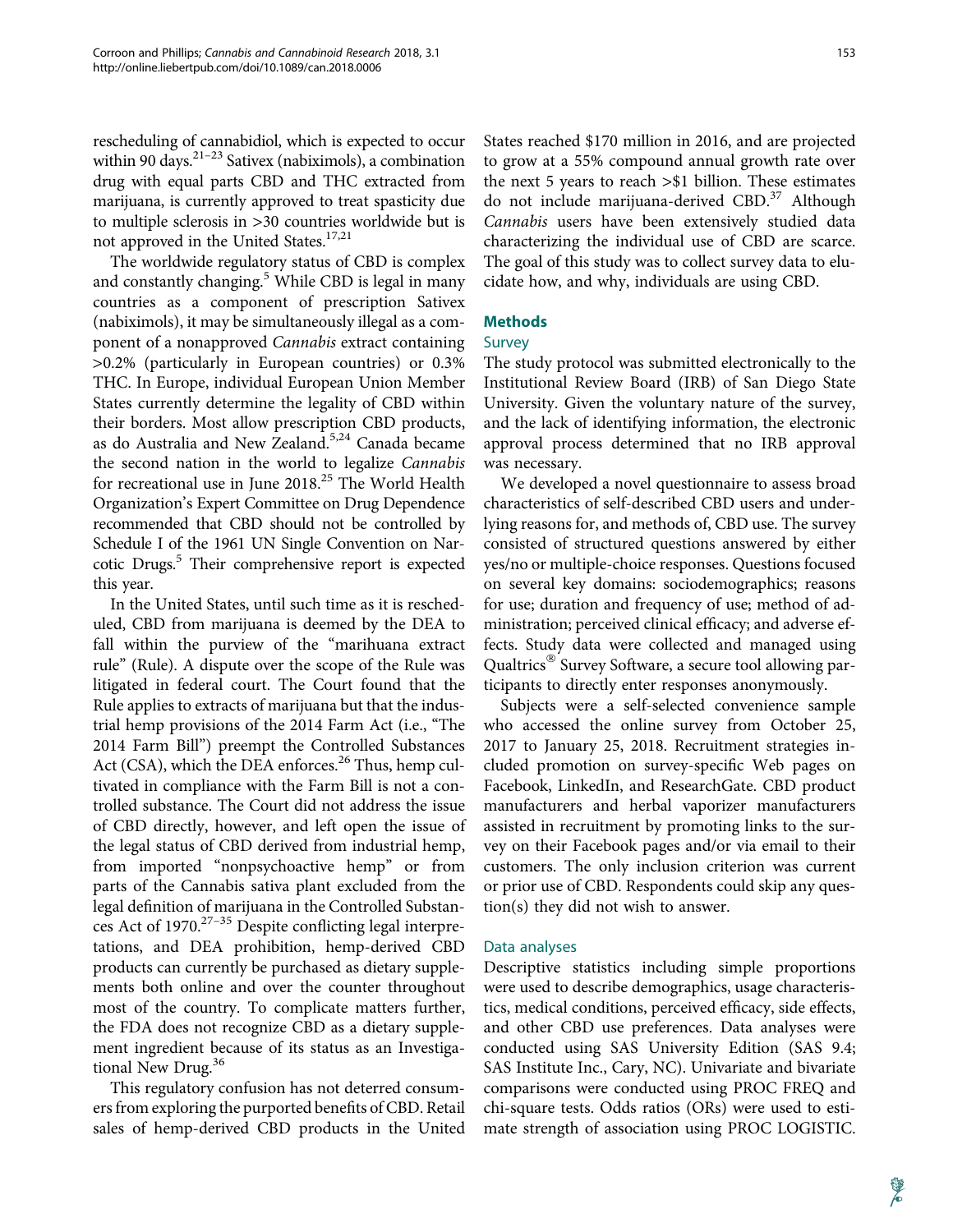rescheduling of cannabidiol, which is expected to occur within 90 days. $2^{1-23}$  Sativex (nabiximols), a combination drug with equal parts CBD and THC extracted from marijuana, is currently approved to treat spasticity due to multiple sclerosis in >30 countries worldwide but is not approved in the United States.<sup>17,21</sup>

The worldwide regulatory status of CBD is complex and constantly changing.<sup>5</sup> While CBD is legal in many countries as a component of prescription Sativex (nabiximols), it may be simultaneously illegal as a component of a nonapproved Cannabis extract containing >0.2% (particularly in European countries) or 0.3% THC. In Europe, individual European Union Member States currently determine the legality of CBD within their borders. Most allow prescription CBD products, as do Australia and New Zealand.<sup>5,24</sup> Canada became the second nation in the world to legalize Cannabis for recreational use in June 2018.<sup>25</sup> The World Health Organization's Expert Committee on Drug Dependence recommended that CBD should not be controlled by Schedule I of the 1961 UN Single Convention on Narcotic Drugs.<sup>5</sup> Their comprehensive report is expected this year.

In the United States, until such time as it is rescheduled, CBD from marijuana is deemed by the DEA to fall within the purview of the "marihuana extract rule'' (Rule). A dispute over the scope of the Rule was litigated in federal court. The Court found that the Rule applies to extracts of marijuana but that the industrial hemp provisions of the 2014 Farm Act (i.e., ''The 2014 Farm Bill'') preempt the Controlled Substances Act (CSA), which the DEA enforces. $^{26}$  Thus, hemp cultivated in compliance with the Farm Bill is not a controlled substance. The Court did not address the issue of CBD directly, however, and left open the issue of the legal status of CBD derived from industrial hemp, from imported ''nonpsychoactive hemp'' or from parts of the Cannabis sativa plant excluded from the legal definition of marijuana in the Controlled Substances Act of  $1970.^{27-35}$  Despite conflicting legal interpretations, and DEA prohibition, hemp-derived CBD products can currently be purchased as dietary supplements both online and over the counter throughout most of the country. To complicate matters further, the FDA does not recognize CBD as a dietary supplement ingredient because of its status as an Investigational New Drug.<sup>36</sup>

This regulatory confusion has not deterred consumers from exploring the purported benefits of CBD. Retail sales of hemp-derived CBD products in the United States reached \$170 million in 2016, and are projected to grow at a 55% compound annual growth rate over the next 5 years to reach >\$1 billion. These estimates do not include marijuana-derived CBD.<sup>37</sup> Although Cannabis users have been extensively studied data characterizing the individual use of CBD are scarce. The goal of this study was to collect survey data to elucidate how, and why, individuals are using CBD.

## Methods

## Survey

The study protocol was submitted electronically to the Institutional Review Board (IRB) of San Diego State University. Given the voluntary nature of the survey, and the lack of identifying information, the electronic approval process determined that no IRB approval was necessary.

We developed a novel questionnaire to assess broad characteristics of self-described CBD users and underlying reasons for, and methods of, CBD use. The survey consisted of structured questions answered by either yes/no or multiple-choice responses. Questions focused on several key domains: sociodemographics; reasons for use; duration and frequency of use; method of administration; perceived clinical efficacy; and adverse effects. Study data were collected and managed using Qualtrics® Survey Software, a secure tool allowing participants to directly enter responses anonymously.

Subjects were a self-selected convenience sample who accessed the online survey from October 25, 2017 to January 25, 2018. Recruitment strategies included promotion on survey-specific Web pages on Facebook, LinkedIn, and ResearchGate. CBD product manufacturers and herbal vaporizer manufacturers assisted in recruitment by promoting links to the survey on their Facebook pages and/or via email to their customers. The only inclusion criterion was current or prior use of CBD. Respondents could skip any question(s) they did not wish to answer.

#### Data analyses

Descriptive statistics including simple proportions were used to describe demographics, usage characteristics, medical conditions, perceived efficacy, side effects, and other CBD use preferences. Data analyses were conducted using SAS University Edition (SAS 9.4; SAS Institute Inc., Cary, NC). Univariate and bivariate comparisons were conducted using PROC FREQ and chi-square tests. Odds ratios (ORs) were used to estimate strength of association using PROC LOGISTIC.

Y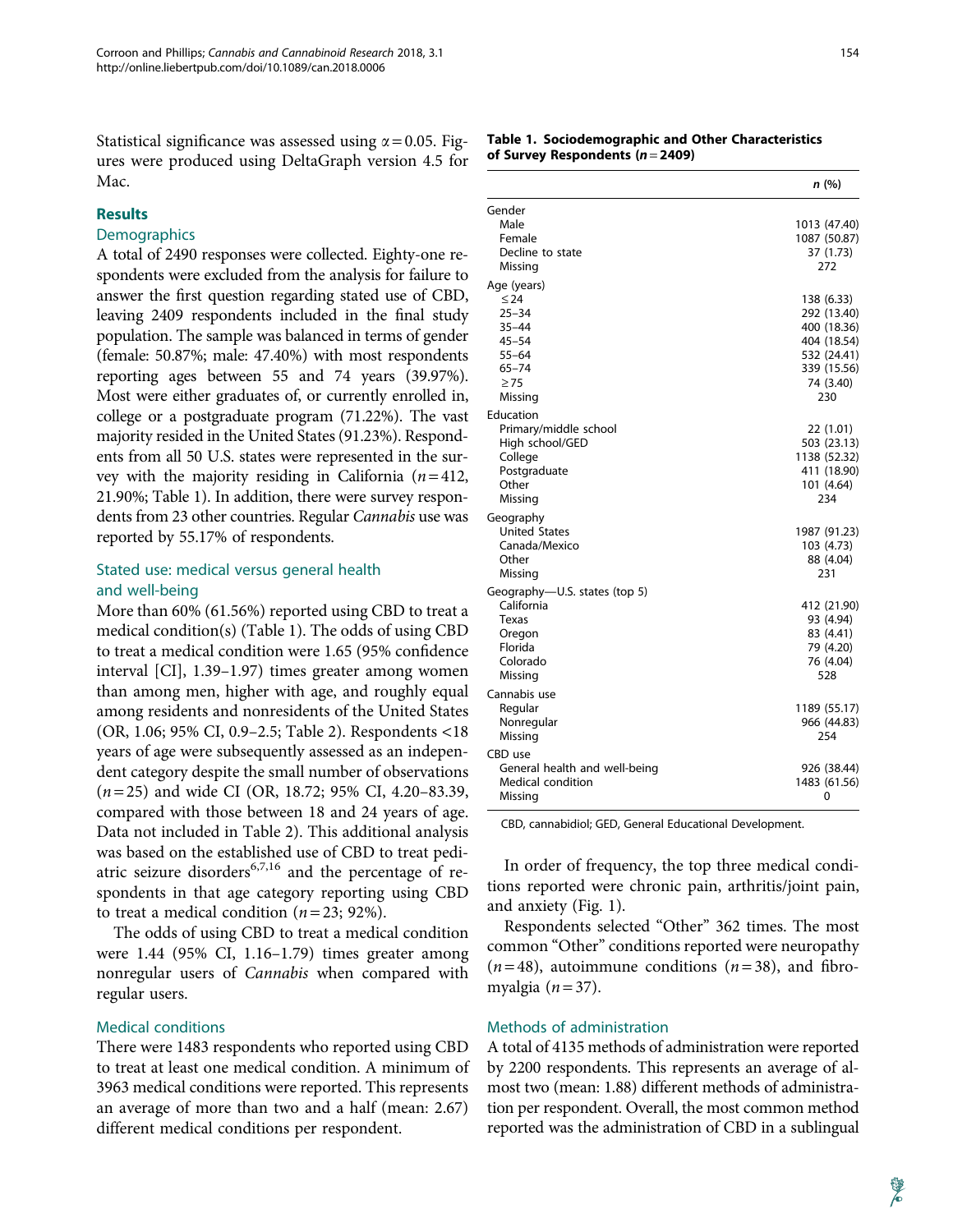Statistical significance was assessed using  $\alpha = 0.05$ . Figures were produced using DeltaGraph version 4.5 for Mac.

#### **Results**

#### **Demographics**

A total of 2490 responses were collected. Eighty-one respondents were excluded from the analysis for failure to answer the first question regarding stated use of CBD, leaving 2409 respondents included in the final study population. The sample was balanced in terms of gender (female: 50.87%; male: 47.40%) with most respondents reporting ages between 55 and 74 years (39.97%). Most were either graduates of, or currently enrolled in, college or a postgraduate program (71.22%). The vast majority resided in the United States (91.23%). Respondents from all 50 U.S. states were represented in the survey with the majority residing in California  $(n=412,$ 21.90%; Table 1). In addition, there were survey respondents from 23 other countries. Regular Cannabis use was reported by 55.17% of respondents.

### Stated use: medical versus general health and well-being

More than 60% (61.56%) reported using CBD to treat a medical condition(s) (Table 1). The odds of using CBD to treat a medical condition were 1.65 (95% confidence interval [CI], 1.39–1.97) times greater among women than among men, higher with age, and roughly equal among residents and nonresidents of the United States (OR, 1.06; 95% CI, 0.9–2.5; Table 2). Respondents <18 years of age were subsequently assessed as an independent category despite the small number of observations  $(n=25)$  and wide CI (OR, 18.72; 95% CI, 4.20–83.39, compared with those between 18 and 24 years of age. Data not included in Table 2). This additional analysis was based on the established use of CBD to treat pediatric seizure disorders $6,7,16$  and the percentage of respondents in that age category reporting using CBD to treat a medical condition ( $n = 23$ ; 92%).

The odds of using CBD to treat a medical condition were 1.44 (95% CI, 1.16–1.79) times greater among nonregular users of Cannabis when compared with regular users.

#### Medical conditions

There were 1483 respondents who reported using CBD to treat at least one medical condition. A minimum of 3963 medical conditions were reported. This represents an average of more than two and a half (mean: 2.67) different medical conditions per respondent.

|                               | n(%)                      |
|-------------------------------|---------------------------|
| Gender                        |                           |
| Male                          | 1013 (47.40)              |
| Female                        | 1087 (50.87)              |
| Decline to state              | 37 (1.73)                 |
| Missing                       | 272                       |
| Age (years)                   |                           |
| $\leq 24$                     | 138 (6.33)                |
| $25 - 34$                     | 292 (13.40)               |
| $35 - 44$                     | 400 (18.36)               |
| $45 - 54$                     | 404 (18.54)               |
| $55 - 64$                     | 532 (24.41)               |
| $65 - 74$                     | 339 (15.56)               |
| $\geq 75$                     | 74 (3.40)                 |
| Missing                       | 230                       |
| Education                     |                           |
| Primary/middle school         | 22 (1.01)                 |
| High school/GED               | 503 (23.13)               |
| College                       | 1138 (52.32)              |
| Postgraduate<br>Other         | 411 (18.90)<br>101 (4.64) |
| Missing                       | 234                       |
|                               |                           |
| Geography                     |                           |
| <b>United States</b>          | 1987 (91.23)              |
| Canada/Mexico                 | 103 (4.73)                |
| Other<br>Missing              | 88 (4.04)<br>231          |
|                               |                           |
| Geography-U.S. states (top 5) |                           |
| California                    | 412 (21.90)               |
| Texas                         | 93 (4.94)                 |
| Oregon<br>Florida             | 83 (4.41)<br>79 (4.20)    |
| Colorado                      | 76 (4.04)                 |
| Missing                       | 528                       |
|                               |                           |
| Cannabis use                  |                           |
| Regular                       | 1189 (55.17)              |
| Nonregular<br>Missing         | 966 (44.83)<br>254        |
|                               |                           |
| CBD use                       |                           |
| General health and well-being | 926 (38.44)               |
| <b>Medical condition</b>      | 1483 (61.56)              |
| Missing                       | 0                         |

CBD, cannabidiol; GED, General Educational Development.

In order of frequency, the top three medical conditions reported were chronic pain, arthritis/joint pain, and anxiety (Fig. 1).

Respondents selected "Other" 362 times. The most common ''Other'' conditions reported were neuropathy  $(n=48)$ , autoimmune conditions  $(n=38)$ , and fibromyalgia  $(n=37)$ .

#### Methods of administration

A total of 4135 methods of administration were reported by 2200 respondents. This represents an average of almost two (mean: 1.88) different methods of administration per respondent. Overall, the most common method reported was the administration of CBD in a sublingual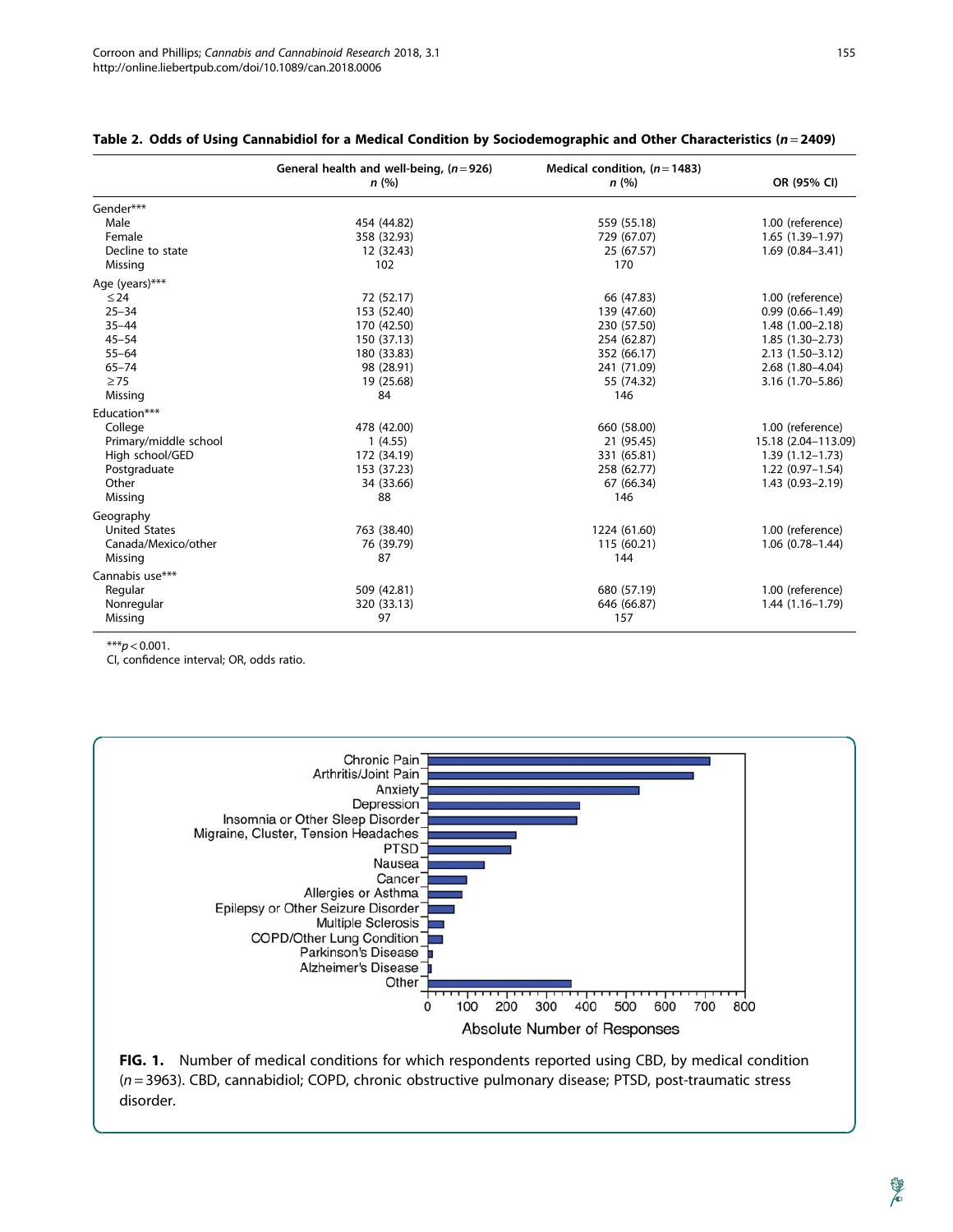|                       | General health and well-being, $(n=926)$<br>n(%) | Medical condition, $(n=1483)$<br>n(%) | OR (95% CI)         |
|-----------------------|--------------------------------------------------|---------------------------------------|---------------------|
| Gender***             |                                                  |                                       |                     |
| Male                  | 454 (44.82)                                      | 559 (55.18)                           | 1.00 (reference)    |
| Female                | 358 (32.93)                                      | 729 (67.07)                           | $1.65(1.39-1.97)$   |
| Decline to state      | 12 (32.43)                                       | 25 (67.57)                            | $1.69(0.84 - 3.41)$ |
| Missing               | 102                                              | 170                                   |                     |
| Age (years)***        |                                                  |                                       |                     |
| $\leq 24$             | 72 (52.17)                                       | 66 (47.83)                            | 1.00 (reference)    |
| $25 - 34$             | 153 (52.40)                                      | 139 (47.60)                           | $0.99(0.66 - 1.49)$ |
| $35 - 44$             | 170 (42.50)                                      | 230 (57.50)                           | $1.48(1.00 - 2.18)$ |
| $45 - 54$             | 150 (37.13)                                      | 254 (62.87)                           | $1.85(1.30-2.73)$   |
| $55 - 64$             | 180 (33.83)                                      | 352 (66.17)                           | $2.13(1.50-3.12)$   |
| $65 - 74$             | 98 (28.91)                                       | 241 (71.09)                           | $2.68(1.80-4.04)$   |
| $\geq$ 75             | 19 (25.68)                                       | 55 (74.32)                            | 3.16 (1.70 - 5.86)  |
| Missing               | 84                                               | 146                                   |                     |
| Education***          |                                                  |                                       |                     |
| College               | 478 (42.00)                                      | 660 (58.00)                           | 1.00 (reference)    |
| Primary/middle school | 1(4.55)                                          | 21 (95.45)                            | 15.18 (2.04-113.09) |
| High school/GED       | 172 (34.19)                                      | 331 (65.81)                           | $1.39(1.12 - 1.73)$ |
| Postgraduate          | 153 (37.23)                                      | 258 (62.77)                           | $1.22(0.97-1.54)$   |
| Other                 | 34 (33.66)                                       | 67 (66.34)                            | $1.43(0.93 - 2.19)$ |
| Missing               | 88                                               | 146                                   |                     |
| Geography             |                                                  |                                       |                     |
| <b>United States</b>  | 763 (38.40)                                      | 1224 (61.60)                          | 1.00 (reference)    |
| Canada/Mexico/other   | 76 (39.79)                                       | 115 (60.21)                           | $1.06(0.78 - 1.44)$ |
| Missing               | 87                                               | 144                                   |                     |
| Cannabis use***       |                                                  |                                       |                     |
| Regular               | 509 (42.81)                                      | 680 (57.19)                           | 1.00 (reference)    |
| Nonregular            | 320 (33.13)                                      | 646 (66.87)                           | $1.44(1.16-1.79)$   |
| Missing               | 97                                               | 157                                   |                     |

#### Table 2. Odds of Using Cannabidiol for a Medical Condition by Sociodemographic and Other Characteristics ( $n = 2409$ )

 $***p<0.001$ .

CI, confidence interval; OR, odds ratio.



FIG. 1. Number of medical conditions for which respondents reported using CBD, by medical condition (n = 3963). CBD, cannabidiol; COPD, chronic obstructive pulmonary disease; PTSD, post-traumatic stress disorder.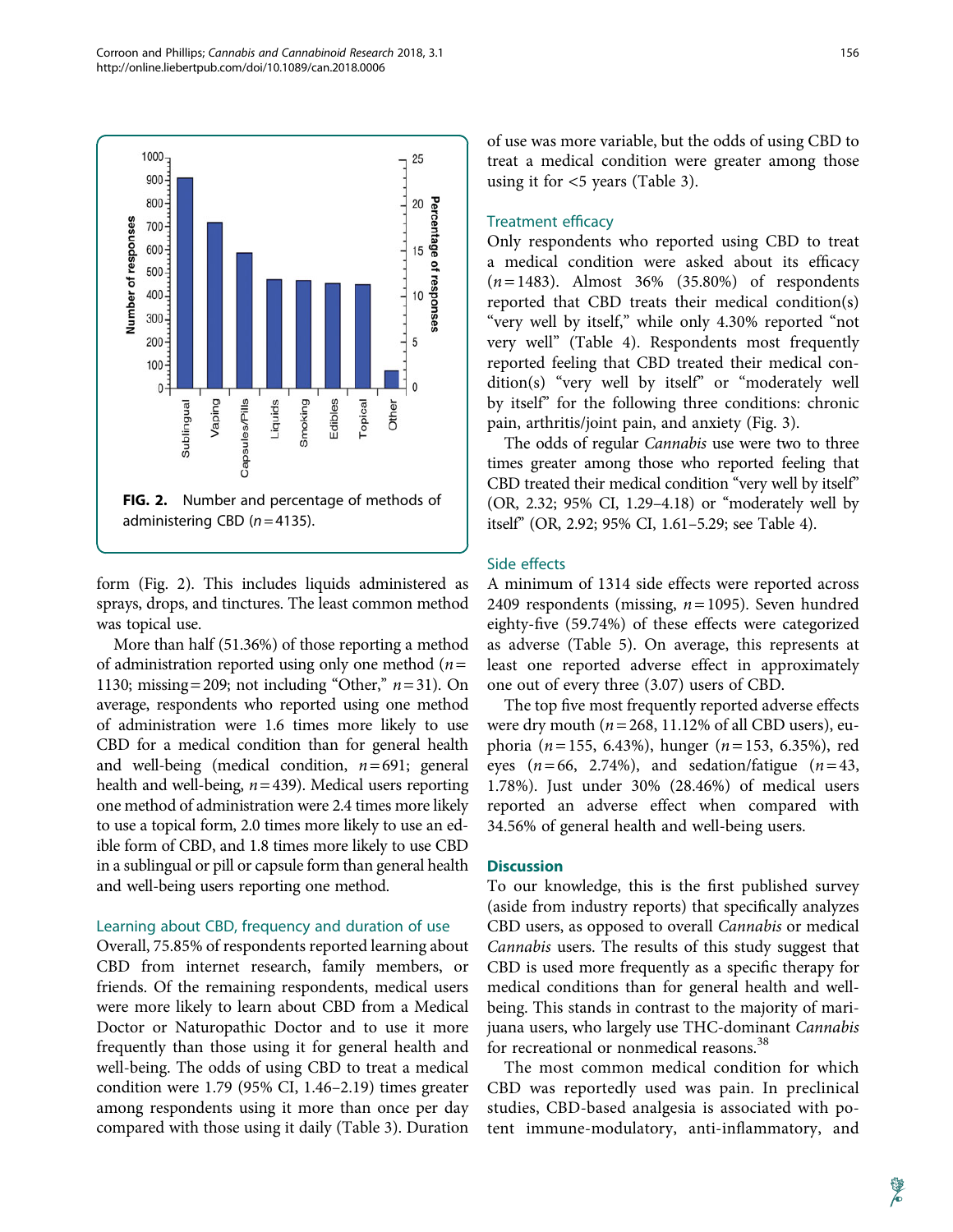

form (Fig. 2). This includes liquids administered as sprays, drops, and tinctures. The least common method was topical use.

More than half (51.36%) of those reporting a method of administration reported using only one method  $(n =$ 1130; missing = 209; not including "Other,"  $n = 31$ ). On average, respondents who reported using one method of administration were 1.6 times more likely to use CBD for a medical condition than for general health and well-being (medical condition,  $n = 691$ ; general health and well-being,  $n = 439$ ). Medical users reporting one method of administration were 2.4 times more likely to use a topical form, 2.0 times more likely to use an edible form of CBD, and 1.8 times more likely to use CBD in a sublingual or pill or capsule form than general health and well-being users reporting one method.

#### Learning about CBD, frequency and duration of use

Overall, 75.85% of respondents reported learning about CBD from internet research, family members, or friends. Of the remaining respondents, medical users were more likely to learn about CBD from a Medical Doctor or Naturopathic Doctor and to use it more frequently than those using it for general health and well-being. The odds of using CBD to treat a medical condition were 1.79 (95% CI, 1.46–2.19) times greater among respondents using it more than once per day compared with those using it daily (Table 3). Duration of use was more variable, but the odds of using CBD to treat a medical condition were greater among those using it for <5 years (Table 3).

#### Treatment efficacy

Only respondents who reported using CBD to treat a medical condition were asked about its efficacy  $(n=1483)$ . Almost 36% (35.80%) of respondents reported that CBD treats their medical condition(s) "very well by itself," while only 4.30% reported "not very well'' (Table 4). Respondents most frequently reported feeling that CBD treated their medical condition(s) "very well by itself" or "moderately well by itself'' for the following three conditions: chronic pain, arthritis/joint pain, and anxiety (Fig. 3).

The odds of regular Cannabis use were two to three times greater among those who reported feeling that CBD treated their medical condition "very well by itself" (OR, 2.32; 95% CI, 1.29–4.18) or ''moderately well by itself'' (OR, 2.92; 95% CI, 1.61–5.29; see Table 4).

#### Side effects

A minimum of 1314 side effects were reported across 2409 respondents (missing,  $n = 1095$ ). Seven hundred eighty-five (59.74%) of these effects were categorized as adverse (Table 5). On average, this represents at least one reported adverse effect in approximately one out of every three (3.07) users of CBD.

The top five most frequently reported adverse effects were dry mouth ( $n = 268$ , 11.12% of all CBD users), euphoria ( $n = 155$ , 6.43%), hunger ( $n = 153$ , 6.35%), red eyes  $(n=66, 2.74\%)$ , and sedation/fatigue  $(n=43, 1.74\%)$ 1.78%). Just under 30% (28.46%) of medical users reported an adverse effect when compared with 34.56% of general health and well-being users.

#### **Discussion**

To our knowledge, this is the first published survey (aside from industry reports) that specifically analyzes CBD users, as opposed to overall Cannabis or medical Cannabis users. The results of this study suggest that CBD is used more frequently as a specific therapy for medical conditions than for general health and wellbeing. This stands in contrast to the majority of marijuana users, who largely use THC-dominant Cannabis for recreational or nonmedical reasons.<sup>38</sup>

The most common medical condition for which CBD was reportedly used was pain. In preclinical studies, CBD-based analgesia is associated with potent immune-modulatory, anti-inflammatory, and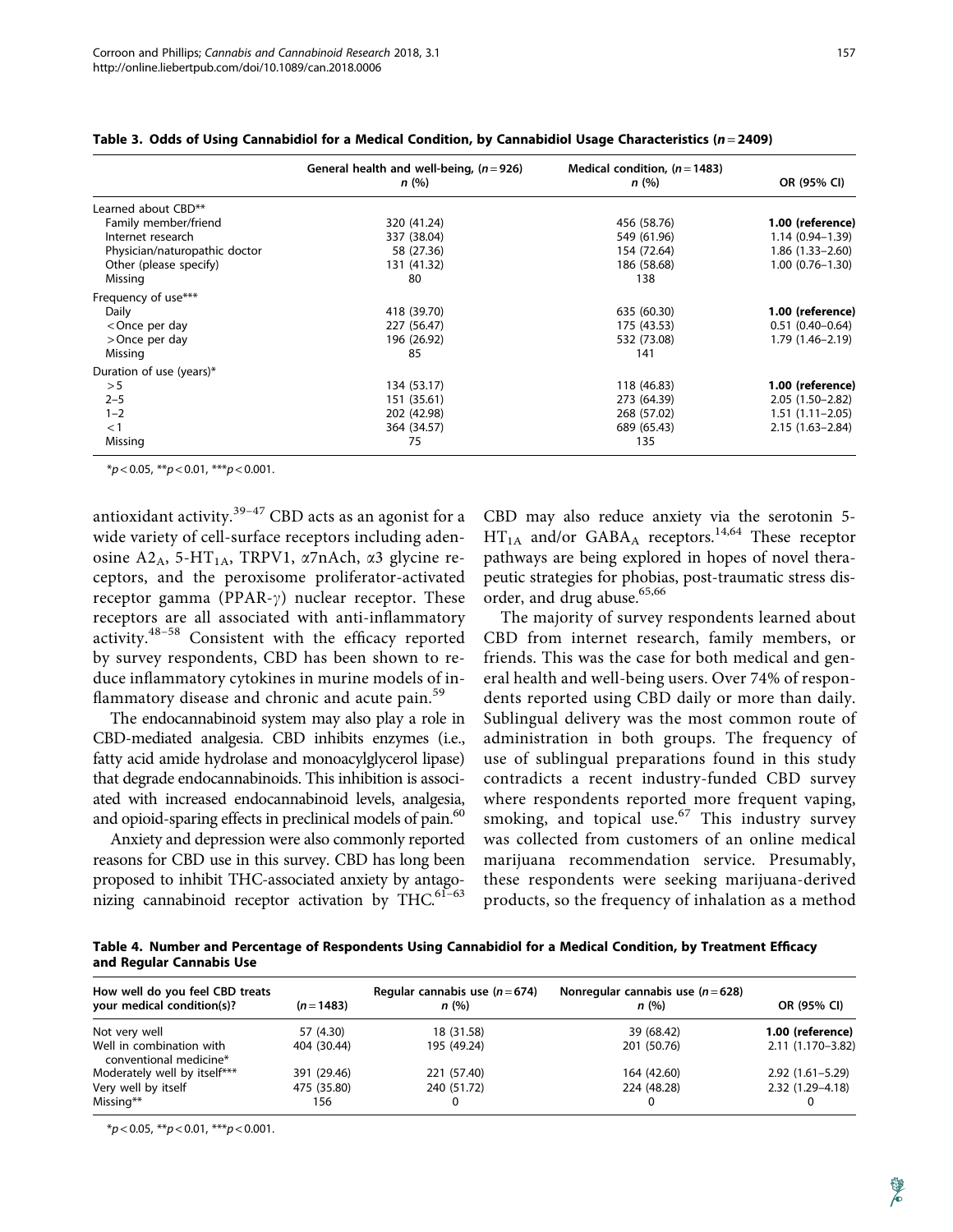| ×. | ۰,<br>$\sim$ |  |
|----|--------------|--|
|    |              |  |

|                                                                                                                   | General health and well-being, $(n=926)$ | Medical condition, $(n=1483)$ |                     |  |
|-------------------------------------------------------------------------------------------------------------------|------------------------------------------|-------------------------------|---------------------|--|
|                                                                                                                   | n(%)                                     | n(%)                          | OR (95% CI)         |  |
| Learned about CBD**                                                                                               |                                          |                               |                     |  |
| Family member/friend                                                                                              | 320 (41.24)                              | 456 (58.76)                   | 1.00 (reference)    |  |
| Internet research                                                                                                 | 337 (38.04)                              | 549 (61.96)                   | $1.14(0.94 - 1.39)$ |  |
| Physician/naturopathic doctor                                                                                     | 58 (27.36)                               | 154 (72.64)                   | $1.86(1.33 - 2.60)$ |  |
| Other (please specify)                                                                                            | 131 (41.32)                              | 186 (58.68)                   | $1.00(0.76 - 1.30)$ |  |
| Missing                                                                                                           | 80                                       | 138                           |                     |  |
| Frequency of use***                                                                                               |                                          |                               |                     |  |
| Daily                                                                                                             | 418 (39.70)                              | 635 (60.30)                   | 1.00 (reference)    |  |
| <once day<="" per="" td=""><td>227 (56.47)</td><td>175 (43.53)</td><td><math>0.51(0.40 - 0.64)</math></td></once> | 227 (56.47)                              | 175 (43.53)                   | $0.51(0.40 - 0.64)$ |  |
| >Once per day                                                                                                     | 196 (26.92)                              | 532 (73.08)                   | 1.79 (1.46-2.19)    |  |
| Missing                                                                                                           | 85                                       | 141                           |                     |  |
| Duration of use (years)*                                                                                          |                                          |                               |                     |  |
| > 5                                                                                                               | 134 (53.17)                              | 118 (46.83)                   | 1.00 (reference)    |  |
| $2 - 5$                                                                                                           | 151 (35.61)                              | 273 (64.39)                   | $2.05(1.50-2.82)$   |  |
| $1 - 2$                                                                                                           | 202 (42.98)                              | 268 (57.02)                   | $1.51(1.11 - 2.05)$ |  |
| $<$ 1                                                                                                             | 364 (34.57)                              | 689 (65.43)                   | $2.15(1.63 - 2.84)$ |  |
| Missing                                                                                                           | 75                                       | 135                           |                     |  |

Table 3. Odds of Using Cannabidiol for a Medical Condition, by Cannabidiol Usage Characteristics ( $n = 2409$ )

 $*p < 0.05$ ,  $**p < 0.01$ ,  $***p < 0.001$ .

antioxidant activity. $39-47$  CBD acts as an agonist for a wide variety of cell-surface receptors including adenosine A2<sub>A</sub>, 5-HT<sub>1A</sub>, TRPV1,  $\alpha$ 7nAch,  $\alpha$ 3 glycine receptors, and the peroxisome proliferator-activated receptor gamma (PPAR- $\gamma$ ) nuclear receptor. These receptors are all associated with anti-inflammatory activity.48–58 Consistent with the efficacy reported by survey respondents, CBD has been shown to reduce inflammatory cytokines in murine models of inflammatory disease and chronic and acute pain.<sup>59</sup>

The endocannabinoid system may also play a role in CBD-mediated analgesia. CBD inhibits enzymes (i.e., fatty acid amide hydrolase and monoacylglycerol lipase) that degrade endocannabinoids. This inhibition is associated with increased endocannabinoid levels, analgesia, and opioid-sparing effects in preclinical models of pain.<sup>60</sup>

Anxiety and depression were also commonly reported reasons for CBD use in this survey. CBD has long been proposed to inhibit THC-associated anxiety by antagonizing cannabinoid receptor activation by THC.<sup>61-63</sup>

CBD may also reduce anxiety via the serotonin 5-  $HT<sub>1A</sub>$  and/or GABA<sub>A</sub> receptors.<sup>14,64</sup> These receptor pathways are being explored in hopes of novel therapeutic strategies for phobias, post-traumatic stress disorder, and drug abuse.<sup>65,66</sup>

The majority of survey respondents learned about CBD from internet research, family members, or friends. This was the case for both medical and general health and well-being users. Over 74% of respondents reported using CBD daily or more than daily. Sublingual delivery was the most common route of administration in both groups. The frequency of use of sublingual preparations found in this study contradicts a recent industry-funded CBD survey where respondents reported more frequent vaping, smoking, and topical use. $67$  This industry survey was collected from customers of an online medical marijuana recommendation service. Presumably, these respondents were seeking marijuana-derived products, so the frequency of inhalation as a method

Table 4. Number and Percentage of Respondents Using Cannabidiol for a Medical Condition, by Treatment Efficacy and Regular Cannabis Use

| How well do you feel CBD treats<br>your medical condition(s)? | $(n=1483)$  | Regular cannabis use $(n=674)$<br>n(%) | Nonregular cannabis use $(n=628)$<br>n(%) | OR (95% CI)         |
|---------------------------------------------------------------|-------------|----------------------------------------|-------------------------------------------|---------------------|
| Not very well                                                 | 57 (4.30)   | 18 (31.58)                             | 39 (68.42)                                | 1.00 (reference)    |
| Well in combination with<br>conventional medicine*            | 404 (30.44) | 195 (49.24)                            | 201 (50.76)                               | 2.11 (1.170-3.82)   |
| Moderately well by itself***                                  | 391 (29.46) | 221 (57.40)                            | 164 (42.60)                               | $2.92(1.61 - 5.29)$ |
| Very well by itself                                           | 475 (35.80) | 240 (51.72)                            | 224 (48.28)                               | 2.32 (1.29–4.18)    |
| Missing**                                                     | 156         |                                        |                                           |                     |

 $**p* < 0.05, ***p* < 0.01, ***p* < 0.001.$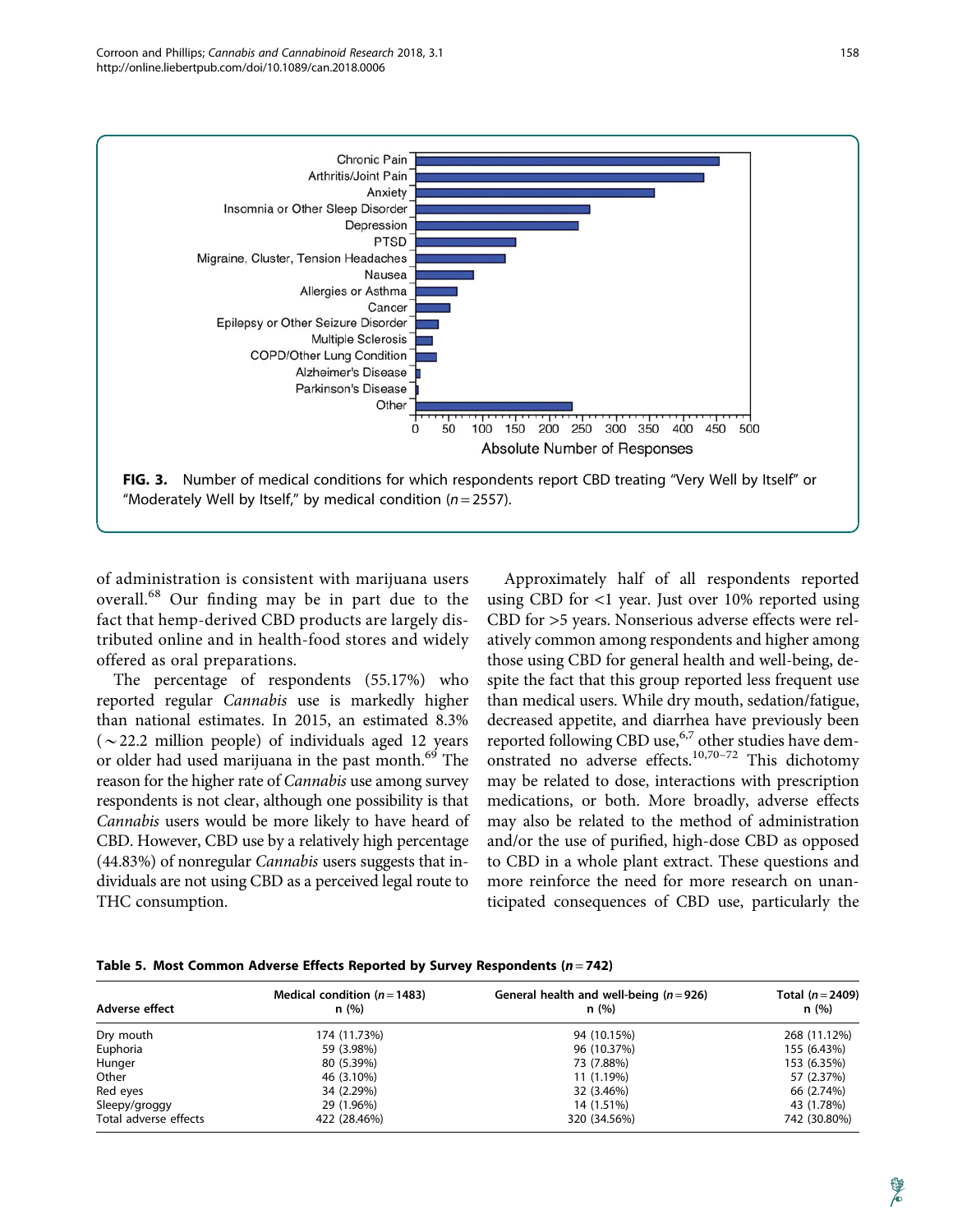

of administration is consistent with marijuana users overall.<sup>68</sup> Our finding may be in part due to the fact that hemp-derived CBD products are largely distributed online and in health-food stores and widely offered as oral preparations.

The percentage of respondents (55.17%) who reported regular Cannabis use is markedly higher than national estimates. In 2015, an estimated 8.3% ( $\sim$ 22.2 million people) of individuals aged 12 years or older had used marijuana in the past month.<sup>69</sup> The reason for the higher rate of Cannabis use among survey respondents is not clear, although one possibility is that Cannabis users would be more likely to have heard of CBD. However, CBD use by a relatively high percentage (44.83%) of nonregular Cannabis users suggests that individuals are not using CBD as a perceived legal route to THC consumption.

Approximately half of all respondents reported using CBD for <1 year. Just over 10% reported using CBD for >5 years. Nonserious adverse effects were relatively common among respondents and higher among those using CBD for general health and well-being, despite the fact that this group reported less frequent use than medical users. While dry mouth, sedation/fatigue, decreased appetite, and diarrhea have previously been reported following CBD use, $6.7$  other studies have demonstrated no adverse effects.10,70–72 This dichotomy may be related to dose, interactions with prescription medications, or both. More broadly, adverse effects may also be related to the method of administration and/or the use of purified, high-dose CBD as opposed to CBD in a whole plant extract. These questions and more reinforce the need for more research on unanticipated consequences of CBD use, particularly the

|                       | Medical condition ( $n = 1483$ ) | General health and well-being $(n=926)$ | Total $(n = 2409)$ |  |
|-----------------------|----------------------------------|-----------------------------------------|--------------------|--|
| Adverse effect        | n (%)                            | n (%)                                   | n(%)               |  |
| Dry mouth             | 174 (11.73%)                     | 94 (10.15%)                             | 268 (11.12%)       |  |
| Euphoria              | 59 (3.98%)                       | 96 (10.37%)                             | 155 (6.43%)        |  |
| Hunger                | 80 (5.39%)                       | 73 (7.88%)                              | 153 (6.35%)        |  |
| Other                 | 46 (3.10%)                       | 11 (1.19%)                              | 57 (2.37%)         |  |
| Red eyes              | 34 (2.29%)                       | 32 (3.46%)                              | 66 (2.74%)         |  |
| Sleepy/groggy         | 29 (1.96%)                       | 14 (1.51%)                              | 43 (1.78%)         |  |
| Total adverse effects | 422 (28.46%)                     | 320 (34.56%)                            | 742 (30.80%)       |  |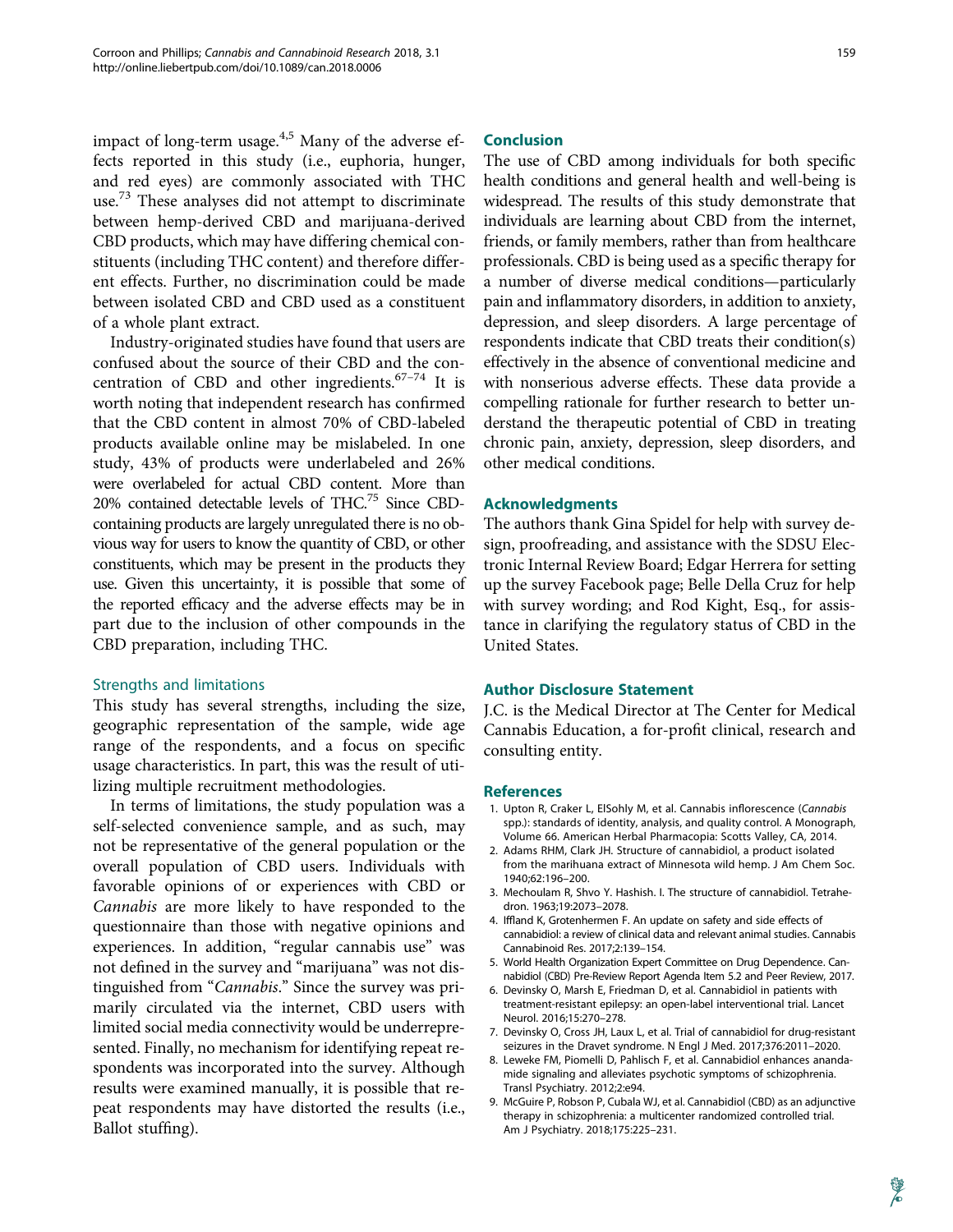impact of long-term usage. $4.5$  Many of the adverse effects reported in this study (i.e., euphoria, hunger, and red eyes) are commonly associated with THC use.<sup>73</sup> These analyses did not attempt to discriminate between hemp-derived CBD and marijuana-derived CBD products, which may have differing chemical constituents (including THC content) and therefore different effects. Further, no discrimination could be made between isolated CBD and CBD used as a constituent of a whole plant extract.

Industry-originated studies have found that users are confused about the source of their CBD and the concentration of CBD and other ingredients.<sup>67-74</sup> It is worth noting that independent research has confirmed that the CBD content in almost 70% of CBD-labeled products available online may be mislabeled. In one study, 43% of products were underlabeled and 26% were overlabeled for actual CBD content. More than 20% contained detectable levels of THC.75 Since CBDcontaining products are largely unregulated there is no obvious way for users to know the quantity of CBD, or other constituents, which may be present in the products they use. Given this uncertainty, it is possible that some of the reported efficacy and the adverse effects may be in part due to the inclusion of other compounds in the CBD preparation, including THC.

#### Strengths and limitations

This study has several strengths, including the size, geographic representation of the sample, wide age range of the respondents, and a focus on specific usage characteristics. In part, this was the result of utilizing multiple recruitment methodologies.

In terms of limitations, the study population was a self-selected convenience sample, and as such, may not be representative of the general population or the overall population of CBD users. Individuals with favorable opinions of or experiences with CBD or Cannabis are more likely to have responded to the questionnaire than those with negative opinions and experiences. In addition, "regular cannabis use" was not defined in the survey and ''marijuana'' was not distinguished from "Cannabis." Since the survey was primarily circulated via the internet, CBD users with limited social media connectivity would be underrepresented. Finally, no mechanism for identifying repeat respondents was incorporated into the survey. Although results were examined manually, it is possible that repeat respondents may have distorted the results (i.e., Ballot stuffing).

#### 159

#### Conclusion

The use of CBD among individuals for both specific health conditions and general health and well-being is widespread. The results of this study demonstrate that individuals are learning about CBD from the internet, friends, or family members, rather than from healthcare professionals. CBD is being used as a specific therapy for a number of diverse medical conditions—particularly pain and inflammatory disorders, in addition to anxiety, depression, and sleep disorders. A large percentage of respondents indicate that CBD treats their condition(s) effectively in the absence of conventional medicine and with nonserious adverse effects. These data provide a compelling rationale for further research to better understand the therapeutic potential of CBD in treating chronic pain, anxiety, depression, sleep disorders, and other medical conditions.

#### Acknowledgments

The authors thank Gina Spidel for help with survey design, proofreading, and assistance with the SDSU Electronic Internal Review Board; Edgar Herrera for setting up the survey Facebook page; Belle Della Cruz for help with survey wording; and Rod Kight, Esq., for assistance in clarifying the regulatory status of CBD in the United States.

#### Author Disclosure Statement

J.C. is the Medical Director at The Center for Medical Cannabis Education, a for-profit clinical, research and consulting entity.

#### References

- 1. Upton R, Craker L, ElSohly M, et al. Cannabis inflorescence (Cannabis spp.): standards of identity, analysis, and quality control. A Monograph, Volume 66. American Herbal Pharmacopia: Scotts Valley, CA, 2014.
- 2. Adams RHM, Clark JH. Structure of cannabidiol, a product isolated from the marihuana extract of Minnesota wild hemp. J Am Chem Soc. 1940;62:196–200.
- 3. Mechoulam R, Shvo Y. Hashish. I. The structure of cannabidiol. Tetrahedron. 1963;19:2073–2078.
- 4. Iffland K, Grotenhermen F. An update on safety and side effects of cannabidiol: a review of clinical data and relevant animal studies. Cannabis Cannabinoid Res. 2017;2:139–154.
- 5. World Health Organization Expert Committee on Drug Dependence. Cannabidiol (CBD) Pre-Review Report Agenda Item 5.2 and Peer Review, 2017.
- 6. Devinsky O, Marsh E, Friedman D, et al. Cannabidiol in patients with treatment-resistant epilepsy: an open-label interventional trial. Lancet Neurol. 2016;15:270–278.
- 7. Devinsky O, Cross JH, Laux L, et al. Trial of cannabidiol for drug-resistant seizures in the Dravet syndrome. N Engl J Med. 2017;376:2011–2020.
- 8. Leweke FM, Piomelli D, Pahlisch F, et al. Cannabidiol enhances anandamide signaling and alleviates psychotic symptoms of schizophrenia. Transl Psychiatry. 2012;2:e94.
- 9. McGuire P, Robson P, Cubala WJ, et al. Cannabidiol (CBD) as an adjunctive therapy in schizophrenia: a multicenter randomized controlled trial. Am J Psychiatry. 2018;175:225–231.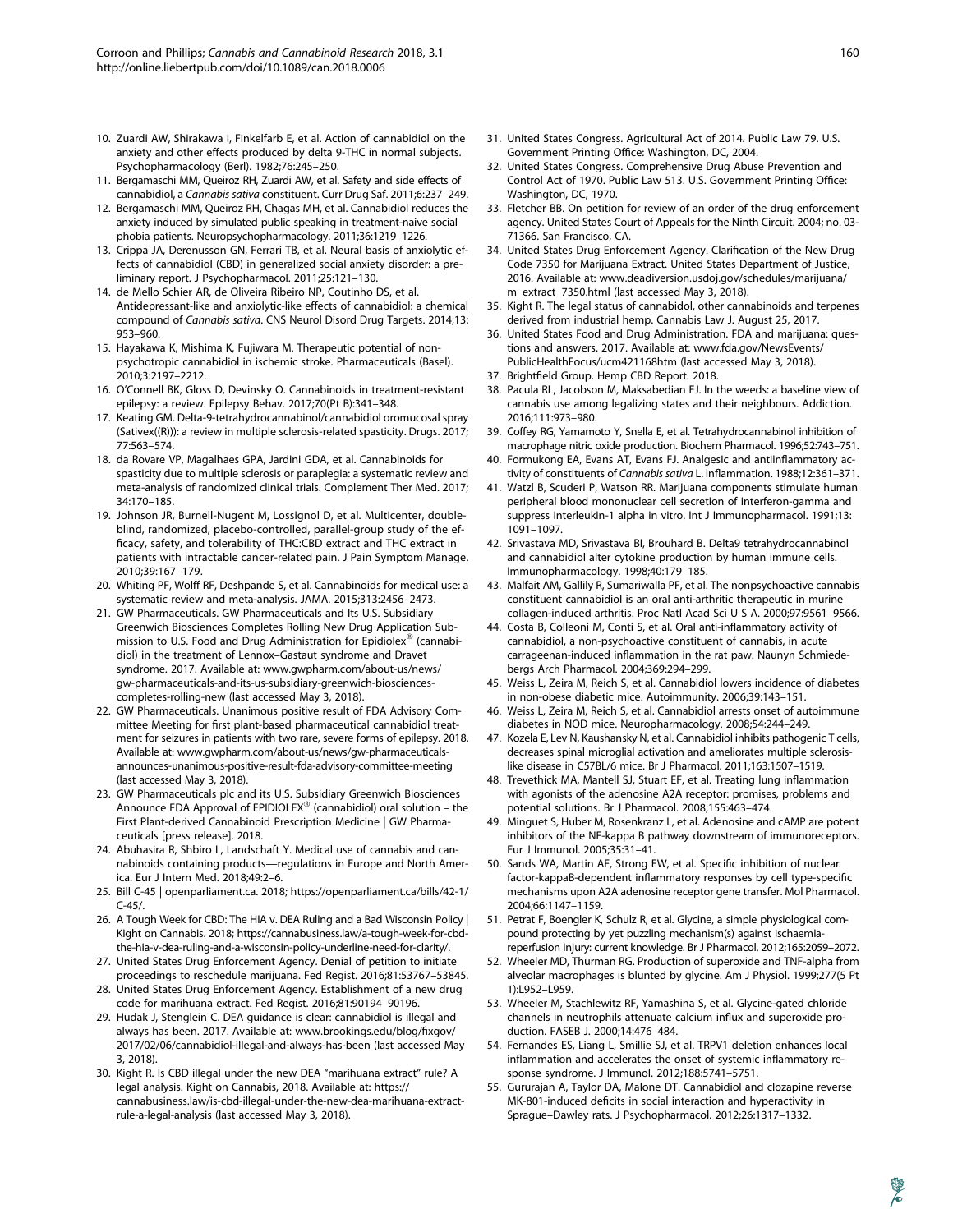- 10. Zuardi AW, Shirakawa I, Finkelfarb E, et al. Action of cannabidiol on the anxiety and other effects produced by delta 9-THC in normal subjects. Psychopharmacology (Berl). 1982;76:245–250.
- 11. Bergamaschi MM, Queiroz RH, Zuardi AW, et al. Safety and side effects of cannabidiol, a Cannabis sativa constituent. Curr Drug Saf. 2011;6:237–249.
- 12. Bergamaschi MM, Queiroz RH, Chagas MH, et al. Cannabidiol reduces the anxiety induced by simulated public speaking in treatment-naive social phobia patients. Neuropsychopharmacology. 2011;36:1219–1226.
- 13. Crippa JA, Derenusson GN, Ferrari TB, et al. Neural basis of anxiolytic effects of cannabidiol (CBD) in generalized social anxiety disorder: a preliminary report. J Psychopharmacol. 2011;25:121–130.
- 14. de Mello Schier AR, de Oliveira Ribeiro NP, Coutinho DS, et al. Antidepressant-like and anxiolytic-like effects of cannabidiol: a chemical compound of Cannabis sativa. CNS Neurol Disord Drug Targets. 2014;13: 953–960.
- 15. Hayakawa K, Mishima K, Fujiwara M. Therapeutic potential of nonpsychotropic cannabidiol in ischemic stroke. Pharmaceuticals (Basel). 2010;3:2197–2212.
- 16. O'Connell BK, Gloss D, Devinsky O. Cannabinoids in treatment-resistant epilepsy: a review. Epilepsy Behav. 2017;70(Pt B):341–348.
- 17. Keating GM. Delta-9-tetrahydrocannabinol/cannabidiol oromucosal spray (Sativex((R))): a review in multiple sclerosis-related spasticity. Drugs. 2017; 77:563–574.
- 18. da Rovare VP, Magalhaes GPA, Jardini GDA, et al. Cannabinoids for spasticity due to multiple sclerosis or paraplegia: a systematic review and meta-analysis of randomized clinical trials. Complement Ther Med. 2017; 34:170–185.
- 19. Johnson JR, Burnell-Nugent M, Lossignol D, et al. Multicenter, doubleblind, randomized, placebo-controlled, parallel-group study of the efficacy, safety, and tolerability of THC:CBD extract and THC extract in patients with intractable cancer-related pain. J Pain Symptom Manage. 2010;39:167–179.
- 20. Whiting PF, Wolff RF, Deshpande S, et al. Cannabinoids for medical use: a systematic review and meta-analysis. JAMA. 2015;313:2456–2473.
- 21. GW Pharmaceuticals. GW Pharmaceuticals and Its U.S. Subsidiary Greenwich Biosciences Completes Rolling New Drug Application Submission to U.S. Food and Drug Administration for Epidiolex® (cannabidiol) in the treatment of Lennox–Gastaut syndrome and Dravet syndrome. 2017. Available at: www.gwpharm.com/about-us/news/ gw-pharmaceuticals-and-its-us-subsidiary-greenwich-biosciencescompletes-rolling-new (last accessed May 3, 2018).
- 22. GW Pharmaceuticals. Unanimous positive result of FDA Advisory Committee Meeting for first plant-based pharmaceutical cannabidiol treatment for seizures in patients with two rare, severe forms of epilepsy. 2018. Available at: www.gwpharm.com/about-us/news/gw-pharmaceuticalsannounces-unanimous-positive-result-fda-advisory-committee-meeting (last accessed May 3, 2018).
- 23. GW Pharmaceuticals plc and its U.S. Subsidiary Greenwich Biosciences Announce FDA Approval of EPIDIOLEX<sup>®</sup> (cannabidiol) oral solution - the First Plant-derived Cannabinoid Prescription Medicine | GW Pharmaceuticals [press release]. 2018.
- 24. Abuhasira R, Shbiro L, Landschaft Y. Medical use of cannabis and cannabinoids containing products—regulations in Europe and North America. Eur J Intern Med. 2018;49:2–6.
- 25. Bill C-45 | openparliament.ca. 2018; https://openparliament.ca/bills/42-1/ C-45/.
- 26. A Tough Week for CBD: The HIA v. DEA Ruling and a Bad Wisconsin Policy | Kight on Cannabis. 2018; https://cannabusiness.law/a-tough-week-for-cbdthe-hia-v-dea-ruling-and-a-wisconsin-policy-underline-need-for-clarity/.
- 27. United States Drug Enforcement Agency. Denial of petition to initiate proceedings to reschedule marijuana. Fed Regist. 2016;81:53767–53845.
- 28. United States Drug Enforcement Agency. Establishment of a new drug code for marihuana extract. Fed Regist. 2016;81:90194–90196.
- 29. Hudak J, Stenglein C. DEA guidance is clear: cannabidiol is illegal and always has been. 2017. Available at: www.brookings.edu/blog/fixgov/ 2017/02/06/cannabidiol-illegal-and-always-has-been (last accessed May 3, 2018).
- 30. Kight R. Is CBD illegal under the new DEA "marihuana extract" rule? A legal analysis. Kight on Cannabis, 2018. Available at: https:// cannabusiness.law/is-cbd-illegal-under-the-new-dea-marihuana-extractrule-a-legal-analysis (last accessed May 3, 2018).
- 31. United States Congress. Agricultural Act of 2014. Public Law 79. U.S. Government Printing Office: Washington, DC, 2004.
- 32. United States Congress. Comprehensive Drug Abuse Prevention and Control Act of 1970. Public Law 513. U.S. Government Printing Office: Washington, DC, 1970.
- 33. Fletcher BB. On petition for review of an order of the drug enforcement agency. United States Court of Appeals for the Ninth Circuit. 2004; no. 03- 71366. San Francisco, CA.
- 34. United States Drug Enforcement Agency. Clarification of the New Drug Code 7350 for Marijuana Extract. United States Department of Justice, 2016. Available at: www.deadiversion.usdoj.gov/schedules/marijuana/ m\_extract\_7350.html (last accessed May 3, 2018).
- 35. Kight R. The legal status of cannabidol, other cannabinoids and terpenes derived from industrial hemp. Cannabis Law J. August 25, 2017.
- 36. United States Food and Drug Administration. FDA and marijuana: questions and answers. 2017. Available at: www.fda.gov/NewsEvents/ PublicHealthFocus/ucm421168htm (last accessed May 3, 2018).
- 37. Brightfield Group. Hemp CBD Report. 2018.
- 38. Pacula RL, Jacobson M, Maksabedian EJ. In the weeds: a baseline view of cannabis use among legalizing states and their neighbours. Addiction. 2016;111:973–980.
- 39. Coffey RG, Yamamoto Y, Snella E, et al. Tetrahydrocannabinol inhibition of macrophage nitric oxide production. Biochem Pharmacol. 1996;52:743–751.
- 40. Formukong EA, Evans AT, Evans FJ. Analgesic and antiinflammatory activity of constituents of Cannabis sativa L. Inflammation. 1988;12:361–371.
- 41. Watzl B, Scuderi P, Watson RR. Marijuana components stimulate human peripheral blood mononuclear cell secretion of interferon-gamma and suppress interleukin-1 alpha in vitro. Int J Immunopharmacol. 1991;13: 1091–1097.
- 42. Srivastava MD, Srivastava BI, Brouhard B. Delta9 tetrahydrocannabinol and cannabidiol alter cytokine production by human immune cells. Immunopharmacology. 1998;40:179–185.
- 43. Malfait AM, Gallily R, Sumariwalla PF, et al. The nonpsychoactive cannabis constituent cannabidiol is an oral anti-arthritic therapeutic in murine collagen-induced arthritis. Proc Natl Acad Sci U S A. 2000;97:9561–9566.
- 44. Costa B, Colleoni M, Conti S, et al. Oral anti-inflammatory activity of cannabidiol, a non-psychoactive constituent of cannabis, in acute carrageenan-induced inflammation in the rat paw. Naunyn Schmiedebergs Arch Pharmacol. 2004;369:294–299.
- 45. Weiss L, Zeira M, Reich S, et al. Cannabidiol lowers incidence of diabetes in non-obese diabetic mice. Autoimmunity. 2006;39:143–151.
- 46. Weiss L, Zeira M, Reich S, et al. Cannabidiol arrests onset of autoimmune diabetes in NOD mice. Neuropharmacology. 2008;54:244–249.
- 47. Kozela E, Lev N, Kaushansky N, et al. Cannabidiol inhibits pathogenic T cells, decreases spinal microglial activation and ameliorates multiple sclerosislike disease in C57BL/6 mice. Br J Pharmacol. 2011;163:1507–1519.
- 48. Trevethick MA, Mantell SJ, Stuart EF, et al. Treating lung inflammation with agonists of the adenosine A2A receptor: promises, problems and potential solutions. Br J Pharmacol. 2008;155:463–474.
- 49. Minguet S, Huber M, Rosenkranz L, et al. Adenosine and cAMP are potent inhibitors of the NF-kappa B pathway downstream of immunoreceptors. Eur J Immunol. 2005;35:31–41.
- 50. Sands WA, Martin AF, Strong EW, et al. Specific inhibition of nuclear factor-kappaB-dependent inflammatory responses by cell type-specific mechanisms upon A2A adenosine receptor gene transfer. Mol Pharmacol. 2004;66:1147–1159.
- 51. Petrat F, Boengler K, Schulz R, et al. Glycine, a simple physiological compound protecting by yet puzzling mechanism(s) against ischaemiareperfusion injury: current knowledge. Br J Pharmacol. 2012;165:2059–2072.
- 52. Wheeler MD, Thurman RG. Production of superoxide and TNF-alpha from alveolar macrophages is blunted by glycine. Am J Physiol. 1999;277(5 Pt 1):L952–L959.
- 53. Wheeler M, Stachlewitz RF, Yamashina S, et al. Glycine-gated chloride channels in neutrophils attenuate calcium influx and superoxide production. FASEB J. 2000;14:476–484.
- 54. Fernandes ES, Liang L, Smillie SJ, et al. TRPV1 deletion enhances local inflammation and accelerates the onset of systemic inflammatory response syndrome. J Immunol. 2012;188:5741–5751.
- 55. Gururajan A, Taylor DA, Malone DT. Cannabidiol and clozapine reverse MK-801-induced deficits in social interaction and hyperactivity in Sprague–Dawley rats. J Psychopharmacol. 2012;26:1317–1332.